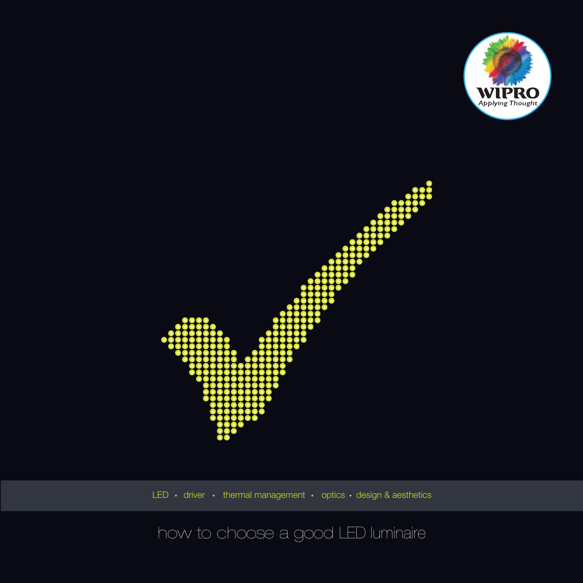



LED  $\cdot$  driver  $\cdot$  thermal management  $\cdot$  optics  $\cdot$  design & aesthetics

## how to choose a good LED luminaire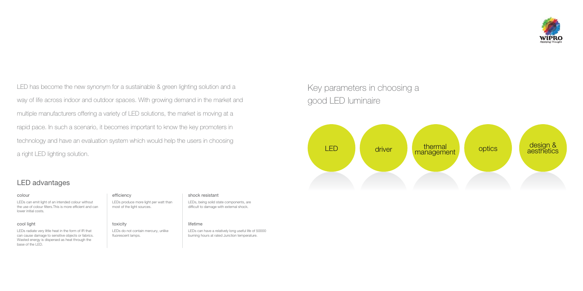LED has become the new synonym for a sustainable & green lighting solution and a way of life across indoor and outdoor spaces. With growing demand in the market and multiple manufacturers offering a variety of LED solutions, the market is moving at a rapid pace. In such a scenario, it becomes important to know the key promoters in technology and have an evaluation system which would help the users in choosing a right LED lighting solution.



## Key parameters in choosing a good LED luminaire

LEDs can emit light of an intended colour without the use of colour filters.This is more efficient and can lower initial costs.

### cool light toxicity

LEDs do not contain mercury, unlike fluorescent lamps.

LEDs radiate very little heat in the form of IR that can cause damage to sensitive objects or fabrics. Wasted energy is dispersed as heat through the base of the LED.

### colour efficiency

LEDs produce more light per watt than most of the light sources.

### shock resistant

### lifetime

LEDs, being solid state components, are difficult to damage with external shock.

LEDs can have a relatively long useful life of 50000 burning hours at rated Junction temperature.



### LED advantages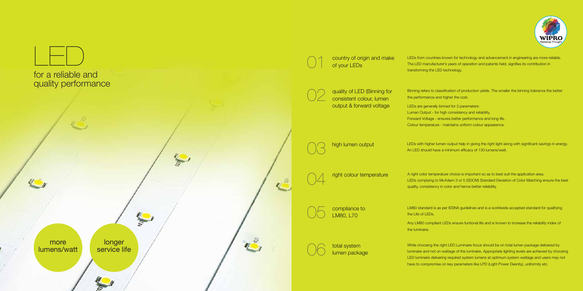LEDs from countries known for technology and advancement in engineering are more reliable. The LED manufacturer's years of operation and patents held, signifies its contribution in transforming the LED technology.

Binning refers to classification of production yields. The smaller the binning tolerance the better the performance and higher the cost.

- LEDs are generally binned for 3 parameters:
- Lumen Output for high consistency and reliability.
- Forward Voltage ensures better performance and long life.
- Colour temperature maintains uniform colour appearence.

LEDs with higher lumen output help in giving the right light along with significant savings in energy. An LED should have a minimum efficacy of 130 lumens/watt.

A right color temperature choice is important so as to best suit the application area. LEDs complying to McAdam 3 or 5 (SDCM) Standard Deviation of Color Matching ensure the best quality, consistency in color and hence better reliability.





LM80 standard is as per IESNA guidelines and is a worldwide accepted standard for qualifying the Life of LEDs.

Any LM80 compliant LEDs ensure funtional life and is known to increase the reliability index of the luminaire.

While choosing the right LED Luminaire focus should be on total lumen package delivered by luminaire and not on wattage of the luminaire. Appropriate lighting levels are achieved by choosing LED luminaire delivering required system lumens at optimum system wattage and users may not have to compromise on key parameters like LPD (Light Power Desnity), uniformity etc.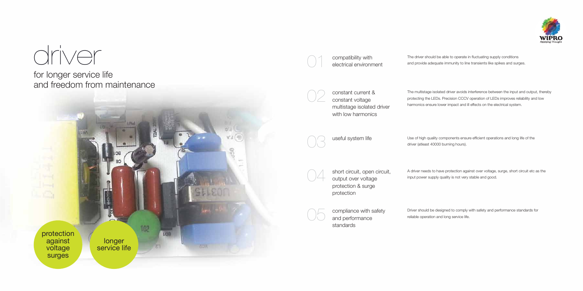The driver should be able to operate in fluctuating supply conditions and provide adequate immunity to line transients like spikes and surges.

constant current & constant voltage multistage isolated driver with low harmonics

The multistage isolated driver avoids interference between the input and output, thereby protecting the LEDs. Precision CCCV operation of LEDs improves reliability and low harmonics ensure lower impact and ill effects on the electrical system.

02

useful system life



Use of high quality components ensure efficient operations and long life of the driver (atleast 40000 burning hours).

A driver needs to have protection against over voltage, surge, short circuit etc as the input power supply quality is not very stable and good.

Driver should be designed to comply with safety and performance standards for reliable operation and long service life.

short circuit, open circuit, output over voltage protection & surge protection

compliance with safety and performance standards



# driver

for longer service life and freedom from maintenance



compatibility with<br>electrical environment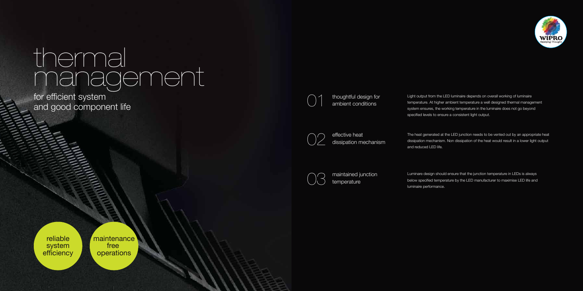Light output from the LED luminaire depends on overall working of luminaire temperature. At higher ambient temperature a well designed thermal management system ensures, the working temperature in the luminaire does not go beyond specified levels to ensure a consistent light output.

thoughtful design for ambient conditions

> The heat generated at the LED junction needs to be vented out by an appropriate heat dissipation mechanism. Non dissipation of the heat would result in a lower light output and reduced LED life.

reliable system **efficiency**  Luminare design should ensure that the junction temperature in LEDs is always below specified temperature by the LED manufacturer to maximise LED life and luminaire performance.

effective heat dissipation mechanism



maintained junction temperature

01



03



for efficient system and good component life

# thermal management

maintenance free operations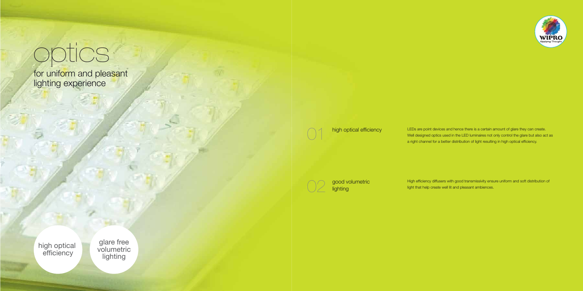LEDs are point devices and hence there is a certain amount of glare they can create. Well designed optics used in the LED luminaires not only control the glare but also act as a right channel for a better distribution of light resulting in high optical efficiency.

High efficiency diffusers with good transmissivity ensure uniform and soft distribution of light that help create well lit and pleasant ambiences.

high optical efficiency 01

> good volumetric lighting

02

# optics

for uniform and pleasant lighting experience

high optical efficiency

glare free volumetric lighting

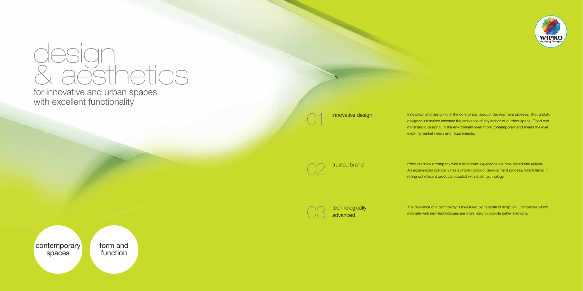for innovative and urban spaces with excellent functionality

# & aesthetics design

contemporary spaces

technologically advanced

form and function







Innovation and design form the core of any product development process. Thoughtfully designed luminaires enhance the ambience of any indoor or outdoor space. Good and minimalistic design turn the environment even more contemporary and meets the ever evolving market needs and requirements.

Products from a company with a significant experience are time tested and reliable. An experienced company has a proven product development process, which helps in rolling out efficient products coupled with latest technology.

The relevance of a technology is measured by its scale of adaption. Companies which innovate with new technologies are more likely to provide better solutions.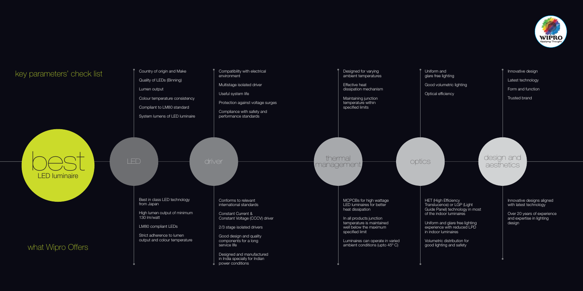Country of origin and Make

Quality of LEDs (Binning)

Lumen output

Colour temperature consistency

Best in class LED technology from Japan

Compliant to LM80 standard

System lumens of LED luminaire

High lumen output of minimum 130 lm/watt

LM80 compliant LEDs

Strict adherence to lumen output and colour temperature Compatibility with electrical environment

Conforms to relevant international standards

Constant Current & Constant Voltage (CCCV) driver

2/3 stage isolated drivers

Good design and quality components for a long service life

Maintaining junction temperature within specified limits

## driver thermal thermal thermal thermal thermal

Designed and manufactured in India specially for Indian power conditions

**HET (High Efficiency** Translucence) or LGP (Light Guide Panel) technology in most of the indoor luminaires

Multistage isolated driver

Useful system life

Protection against voltage surges

Compliance with safety and performance standards

> MCPCBs for high wattage LED luminaires for better heat dissipation

In all products junction temperature is maintained well below the maximum specified limit

Luminaires can operate in varied ambient conditions (upto 45º C)



Designed for varying ambient temperatures

Effective heat dissipation mechanism

> Uniform and glare free lighting experience with reduced LPD in indoor luminaires

Volumetric distribution for good lighting and safety

Uniform and glare free lighting

Good volumetric lighting

Optical efficiency

Innovative designs aligned with latest technology

Over 20 years of experience and expertise in lighting design

Innovative design

Latest technology

Form and function

Trusted brand

## thermal optics design and<br>management optics aesthetics

LED luminaire

### key parameters' check list

best LED

### what Wipro Offers